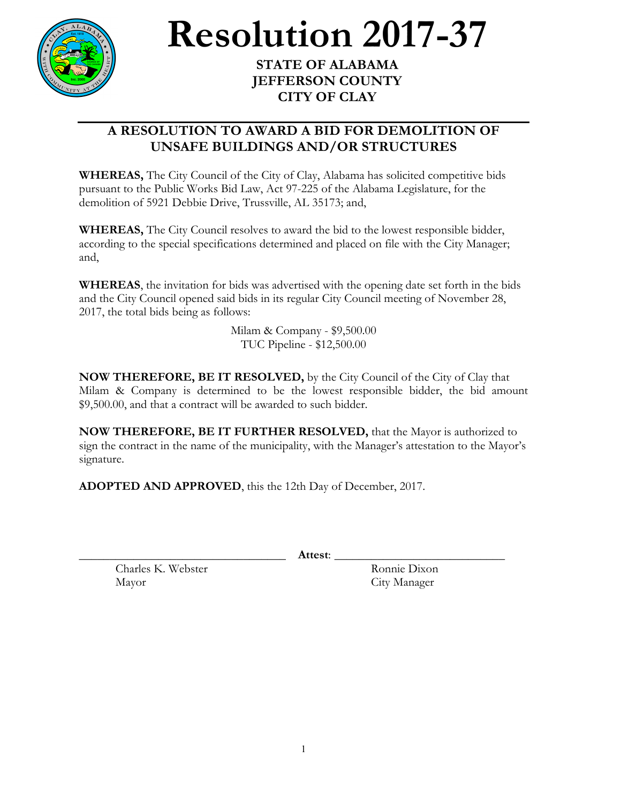

**Resolution** 2017-37

**JEFFERSON COUNTY CITY OF CLAY**

## **A RESOLUTION TO AWARD A BID FOR DEMOLITION OF UNSAFE BUILDINGS AND/OR STRUCTURES**

**WHEREAS,** The City Council of the City of Clay, Alabama has solicited competitive bids pursuant to the Public Works Bid Law, Act 97-225 of the Alabama Legislature, for the demolition of 5921 Debbie Drive, Trussville, AL 35173; and,

**WHEREAS,** The City Council resolves to award the bid to the lowest responsible bidder, according to the special specifications determined and placed on file with the City Manager; and,

**WHEREAS**, the invitation for bids was advertised with the opening date set forth in the bids and the City Council opened said bids in its regular City Council meeting of November 28, 2017, the total bids being as follows:

> Milam & Company - \$9,500.00 TUC Pipeline - \$12,500.00

**NOW THEREFORE, BE IT RESOLVED,** by the City Council of the City of Clay that Milam & Company is determined to be the lowest responsible bidder, the bid amount \$9,500.00, and that a contract will be awarded to such bidder.

**NOW THEREFORE, BE IT FURTHER RESOLVED,** that the Mayor is authorized to sign the contract in the name of the municipality, with the Manager's attestation to the Mayor's signature.

**ADOPTED AND APPROVED**, this the 12th Day of December, 2017.

\_\_\_\_\_\_\_\_\_\_\_\_\_\_\_\_\_\_\_\_\_\_\_\_\_\_\_\_\_\_\_\_\_\_ **Attest**: \_\_\_\_\_\_\_\_\_\_\_\_\_\_\_\_\_\_\_\_\_\_\_\_\_\_\_\_

Charles K. Webster Ronnie Dixon Mayor City Manager